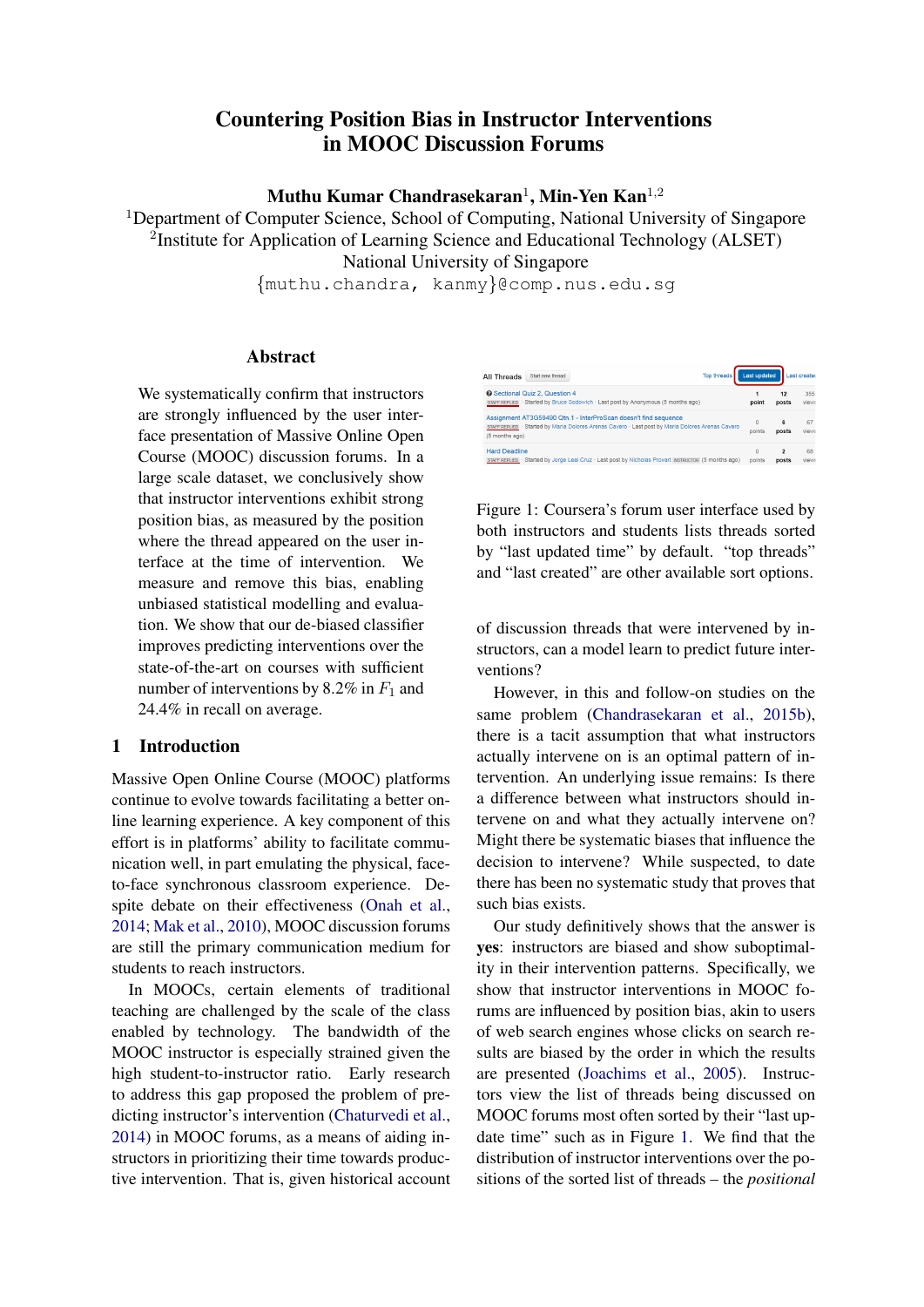# Countering Position Bias in Instructor Interventions in MOOC Discussion Forums

Muthu Kumar Chandrasekaran $^1$ , Min-Yen Kan $^{1,2}$ 

<sup>1</sup>Department of Computer Science, School of Computing, National University of Singapore <sup>2</sup>Institute for Application of Learning Science and Educational Technology (ALSET) National University of Singapore

{muthu.chandra, kanmy}@comp.nus.edu.sg

### **Abstract**

We systematically confirm that instructors are strongly influenced by the user interface presentation of Massive Online Open Course (MOOC) discussion forums. In a large scale dataset, we conclusively show that instructor interventions exhibit strong position bias, as measured by the position where the thread appeared on the user interface at the time of intervention. We measure and remove this bias, enabling unbiased statistical modelling and evaluation. We show that our de-biased classifier improves predicting interventions over the state-of-the-art on courses with sufficient number of interventions by 8.2% in  $F_1$  and 24.4% in recall on average.

### 1 Introduction

Massive Open Online Course (MOOC) platforms continue to evolve towards facilitating a better online learning experience. A key component of this effort is in platforms' ability to facilitate communication well, in part emulating the physical, faceto-face synchronous classroom experience. Despite debate on their effectiveness [\(Onah et al.,](#page-7-0) [2014;](#page-7-0) [Mak et al.,](#page-6-0) [2010\)](#page-6-0), MOOC discussion forums are still the primary communication medium for students to reach instructors.

In MOOCs, certain elements of traditional teaching are challenged by the scale of the class enabled by technology. The bandwidth of the MOOC instructor is especially strained given the high student-to-instructor ratio. Early research to address this gap proposed the problem of predicting instructor's intervention [\(Chaturvedi et al.,](#page-6-1) [2014\)](#page-6-1) in MOOC forums, as a means of aiding instructors in prioritizing their time towards productive intervention. That is, given historical account

| <b>Top threads</b><br>Start new thread<br><b>All Threads</b>                                                                                                                           | Last updated |            | Last created |
|----------------------------------------------------------------------------------------------------------------------------------------------------------------------------------------|--------------|------------|--------------|
| <b>@</b> Sectional Quiz 2. Question 4                                                                                                                                                  | point        | 12         | 355          |
| STAFF REPLIED · Started by Bruce Sodowich · Last post by Anonymous (5 months ago)                                                                                                      |              | posts      | views        |
| Assignment AT3G59490 Qtn.1 - InterProScan doesn't find sequence<br>STAFF REPLIED · Started by Maria Dolores Arenas Cavero · Last post by Maria Dolores Arenas Cavero<br>(5 months ago) | 0<br>points  | 6<br>posts | 67<br>views  |
| <b>Hard Deadline</b>                                                                                                                                                                   | O            | 2          | 68           |
| STAFF REPLIED · Started by Jorge Leal Cruz · Last post by Nicholas Provart INSTRUCTOR (5 months ago)                                                                                   | points       | posts      | views        |

<span id="page-0-0"></span>Figure 1: Coursera's forum user interface used by both instructors and students lists threads sorted by "last updated time" by default. "top threads" and "last created" are other available sort options.

of discussion threads that were intervened by instructors, can a model learn to predict future interventions?

However, in this and follow-on studies on the same problem [\(Chandrasekaran et al.,](#page-6-2) [2015b\)](#page-6-2), there is a tacit assumption that what instructors actually intervene on is an optimal pattern of intervention. An underlying issue remains: Is there a difference between what instructors should intervene on and what they actually intervene on? Might there be systematic biases that influence the decision to intervene? While suspected, to date there has been no systematic study that proves that such bias exists.

Our study definitively shows that the answer is yes: instructors are biased and show suboptimality in their intervention patterns. Specifically, we show that instructor interventions in MOOC forums are influenced by position bias, akin to users of web search engines whose clicks on search results are biased by the order in which the results are presented [\(Joachims et al.,](#page-6-3) [2005\)](#page-6-3). Instructors view the list of threads being discussed on MOOC forums most often sorted by their "last update time" such as in Figure [1.](#page-0-0) We find that the distribution of instructor interventions over the positions of the sorted list of threads – the *positional*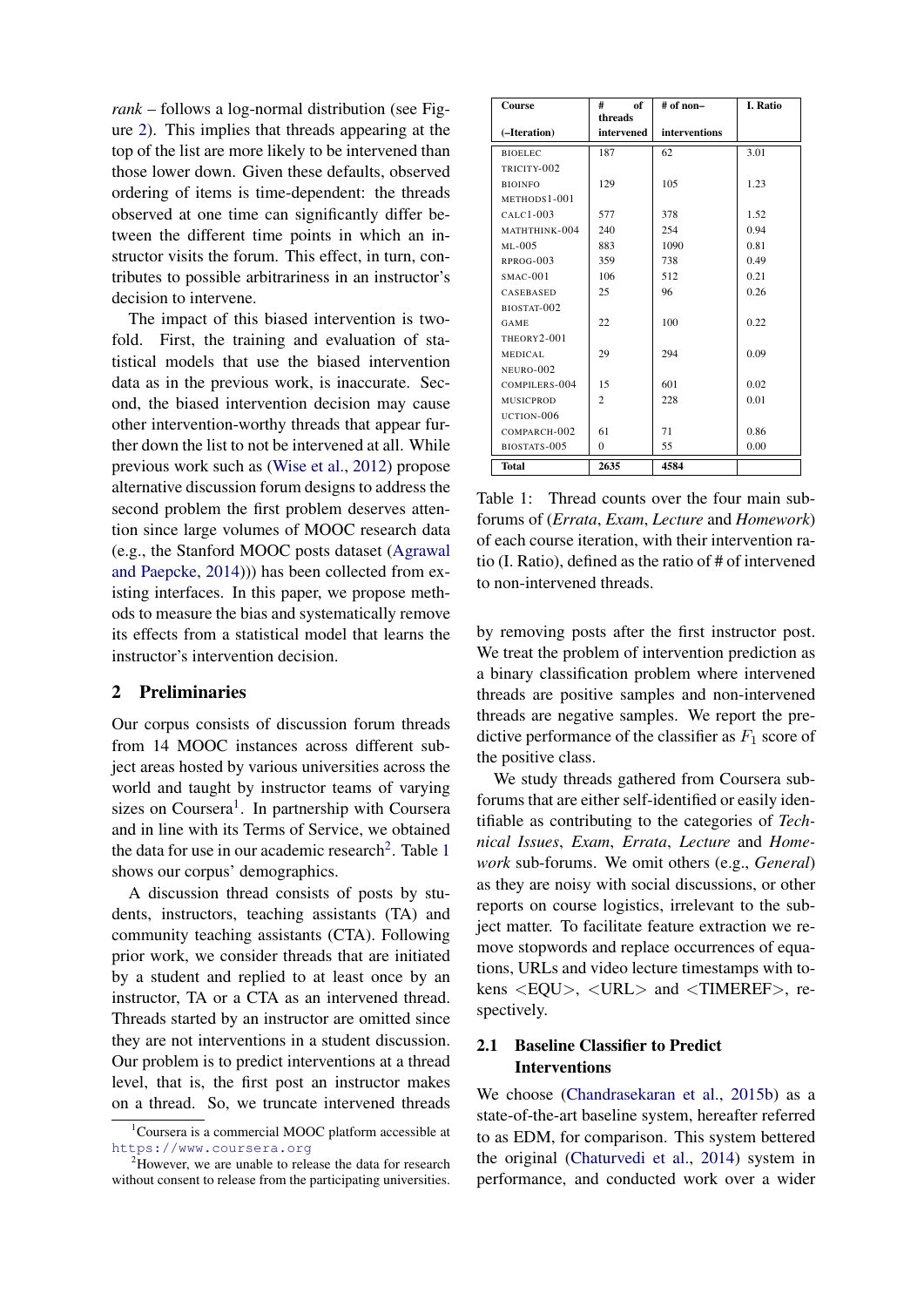*rank* – follows a log-normal distribution (see Figure [2\)](#page-2-0). This implies that threads appearing at the top of the list are more likely to be intervened than those lower down. Given these defaults, observed ordering of items is time-dependent: the threads observed at one time can significantly differ between the different time points in which an instructor visits the forum. This effect, in turn, contributes to possible arbitrariness in an instructor's decision to intervene.

The impact of this biased intervention is twofold. First, the training and evaluation of statistical models that use the biased intervention data as in the previous work, is inaccurate. Second, the biased intervention decision may cause other intervention-worthy threads that appear further down the list to not be intervened at all. While previous work such as [\(Wise et al.,](#page-7-1) [2012\)](#page-7-1) propose alternative discussion forum designs to address the second problem the first problem deserves attention since large volumes of MOOC research data (e.g., the Stanford MOOC posts dataset [\(Agrawal](#page-6-4) [and Paepcke,](#page-6-4) [2014\)](#page-6-4))) has been collected from existing interfaces. In this paper, we propose methods to measure the bias and systematically remove its effects from a statistical model that learns the instructor's intervention decision.

#### 2 Preliminaries

Our corpus consists of discussion forum threads from 14 MOOC instances across different subject areas hosted by various universities across the world and taught by instructor teams of varying sizes on Coursera<sup>[1](#page-1-0)</sup>. In partnership with Coursera and in line with its Terms of Service, we obtained the data for use in our academic research<sup>[2](#page-1-1)</sup>. Table [1](#page-1-2) shows our corpus' demographics.

A discussion thread consists of posts by students, instructors, teaching assistants (TA) and community teaching assistants (CTA). Following prior work, we consider threads that are initiated by a student and replied to at least once by an instructor, TA or a CTA as an intervened thread. Threads started by an instructor are omitted since they are not interventions in a student discussion. Our problem is to predict interventions at a thread level, that is, the first post an instructor makes on a thread. So, we truncate intervened threads

| Course         | #<br>of<br>threads | # of non-     | I. Ratio |
|----------------|--------------------|---------------|----------|
| (-Iteration)   | intervened         | interventions |          |
| <b>BIOELEC</b> | 187                | 62            | 3.01     |
| TRICITY-002    |                    |               |          |
| <b>BIOINFO</b> | 129                | 105           | 1.23     |
| METHODS1-001   |                    |               |          |
| $CALC1-003$    | 577                | 378           | 1.52     |
| MATHTHINK-004  | 240                | 254           | 0.94     |
| $ML-005$       | 883                | 1090          | 0.81     |
| RPROG-003      | 359                | 738           | 0.49     |
| $SMAC-001$     | 106                | 512           | 0.21     |
| CASEBASED      | 25                 | 96            | 0.26     |
| BIOSTAT-002    |                    |               |          |
| GAME           | 22                 | 100           | 0.22     |
| THEORY2-001    |                    |               |          |
| MEDICAL        | 29                 | 294           | 0.09     |
| NEURO-002      |                    |               |          |
| COMPILERS-004  | 15                 | 601           | 0.02     |
| MUSICPROD      | $\mathfrak{D}$     | 228           | 0.01     |
| UCTION-006     |                    |               |          |
| COMPARCH-002   | 61                 | 71            | 0.86     |
| BIOSTATS-005   | $\Omega$           | 55            | 0.00     |
| <b>Total</b>   | 2635               | 4584          |          |

<span id="page-1-2"></span>Table 1: Thread counts over the four main subforums of (*Errata*, *Exam*, *Lecture* and *Homework*) of each course iteration, with their intervention ratio (I. Ratio), defined as the ratio of # of intervened to non-intervened threads.

by removing posts after the first instructor post. We treat the problem of intervention prediction as a binary classification problem where intervened threads are positive samples and non-intervened threads are negative samples. We report the predictive performance of the classifier as  $F_1$  score of the positive class.

We study threads gathered from Coursera subforums that are either self-identified or easily identifiable as contributing to the categories of *Technical Issues*, *Exam*, *Errata*, *Lecture* and *Homework* sub-forums. We omit others (e.g., *General*) as they are noisy with social discussions, or other reports on course logistics, irrelevant to the subject matter. To facilitate feature extraction we remove stopwords and replace occurrences of equations, URLs and video lecture timestamps with tokens <EQU>, <URL> and <TIMEREF>, respectively.

### 2.1 Baseline Classifier to Predict Interventions

We choose [\(Chandrasekaran et al.,](#page-6-2) [2015b\)](#page-6-2) as a state-of-the-art baseline system, hereafter referred to as EDM, for comparison. This system bettered the original [\(Chaturvedi et al.,](#page-6-1) [2014\)](#page-6-1) system in performance, and conducted work over a wider

<span id="page-1-0"></span><sup>&</sup>lt;sup>1</sup>Coursera is a commercial MOOC platform accessible at <https://www.coursera.org>

<span id="page-1-1"></span><sup>&</sup>lt;sup>2</sup>However, we are unable to release the data for research without consent to release from the participating universities.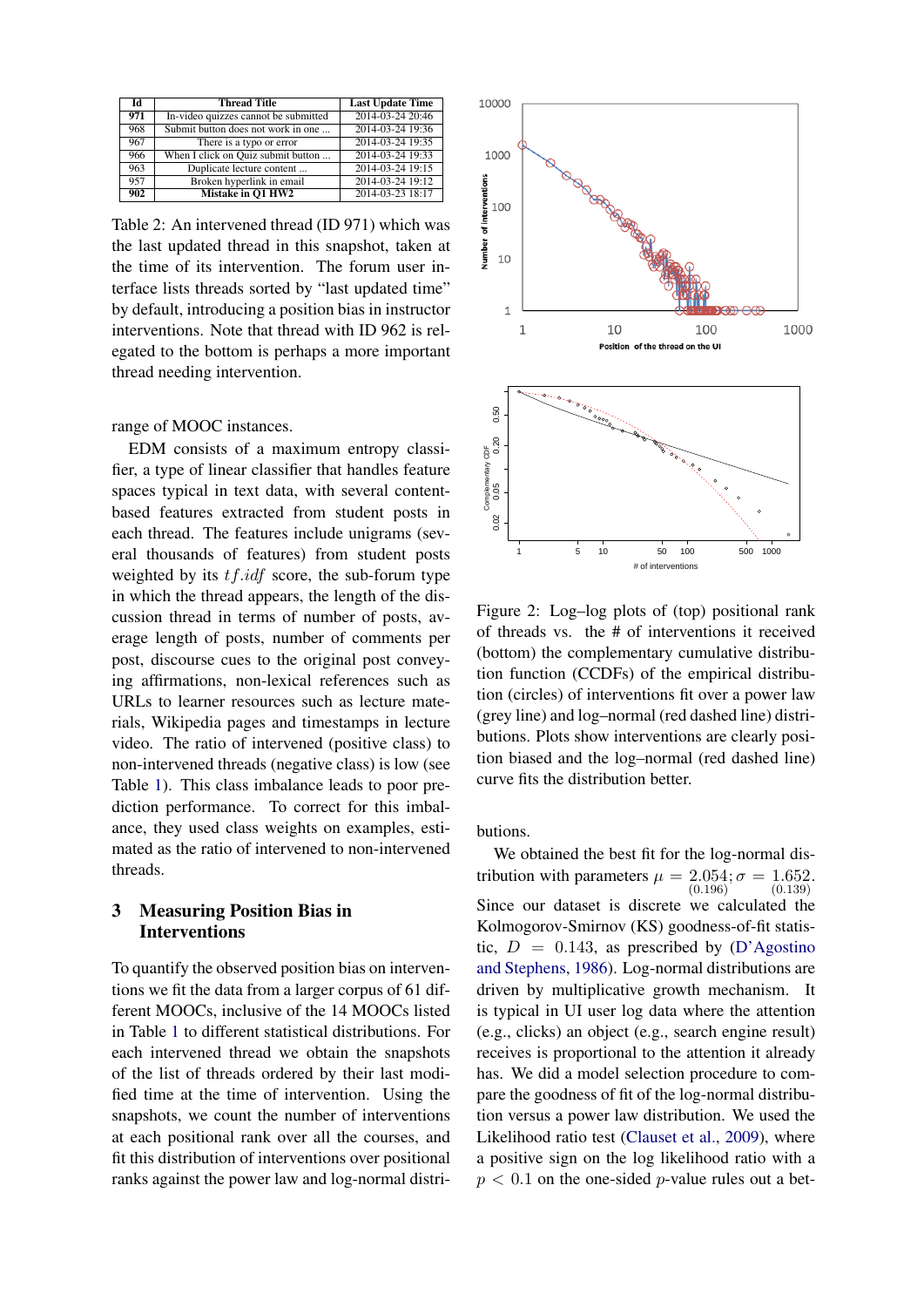| Īd  | <b>Thread Title</b>                  | <b>Last Update Time</b> |
|-----|--------------------------------------|-------------------------|
| 971 | In-video quizzes cannot be submitted | 2014-03-24 20:46        |
| 968 | Submit button does not work in one   | 2014-03-24 19:36        |
| 967 | There is a typo or error             | 2014-03-24 19:35        |
| 966 | When I click on Quiz submit button   | 2014-03-24 19:33        |
| 963 | Duplicate lecture content            | 2014-03-24 19:15        |
| 957 | Broken hyperlink in email            | 2014-03-24 19:12        |
| 902 | Mistake in O1 HW2                    | 2014-03-23 18:17        |

<span id="page-2-1"></span>Table 2: An intervened thread (ID 971) which was the last updated thread in this snapshot, taken at the time of its intervention. The forum user interface lists threads sorted by "last updated time" by default, introducing a position bias in instructor interventions. Note that thread with ID 962 is relegated to the bottom is perhaps a more important thread needing intervention.

range of MOOC instances.

EDM consists of a maximum entropy classifier, a type of linear classifier that handles feature spaces typical in text data, with several contentbased features extracted from student posts in each thread. The features include unigrams (several thousands of features) from student posts weighted by its  $tf.idf$  score, the sub-forum type in which the thread appears, the length of the discussion thread in terms of number of posts, average length of posts, number of comments per post, discourse cues to the original post conveying affirmations, non-lexical references such as URLs to learner resources such as lecture materials, Wikipedia pages and timestamps in lecture video. The ratio of intervened (positive class) to non-intervened threads (negative class) is low (see Table [1\)](#page-1-2). This class imbalance leads to poor prediction performance. To correct for this imbalance, they used class weights on examples, estimated as the ratio of intervened to non-intervened threads.

### 3 Measuring Position Bias in **Interventions**

To quantify the observed position bias on interventions we fit the data from a larger corpus of 61 different MOOCs, inclusive of the 14 MOOCs listed in Table [1](#page-1-2) to different statistical distributions. For each intervened thread we obtain the snapshots of the list of threads ordered by their last modified time at the time of intervention. Using the snapshots, we count the number of interventions at each positional rank over all the courses, and fit this distribution of interventions over positional ranks against the power law and log-normal distri-



<span id="page-2-0"></span>Figure 2: Log–log plots of (top) positional rank of threads vs. the # of interventions it received (bottom) the complementary cumulative distribution function (CCDFs) of the empirical distribution (circles) of interventions fit over a power law (grey line) and log–normal (red dashed line) distributions. Plots show interventions are clearly position biased and the log–normal (red dashed line) curve fits the distribution better.

butions.

We obtained the best fit for the log-normal distribution with parameters  $\mu = 2.054$ ;  $\sigma$ (0.196)  $;\sigma = 1.652.$ (0.139) Since our dataset is discrete we calculated the Kolmogorov-Smirnov (KS) goodness-of-fit statistic,  $D = 0.143$ , as prescribed by [\(D'Agostino](#page-6-5) [and Stephens,](#page-6-5) [1986\)](#page-6-5). Log-normal distributions are driven by multiplicative growth mechanism. It is typical in UI user log data where the attention (e.g., clicks) an object (e.g., search engine result) receives is proportional to the attention it already has. We did a model selection procedure to compare the goodness of fit of the log-normal distribution versus a power law distribution. We used the Likelihood ratio test [\(Clauset et al.,](#page-6-6) [2009\)](#page-6-6), where a positive sign on the log likelihood ratio with a  $p < 0.1$  on the one-sided *p*-value rules out a bet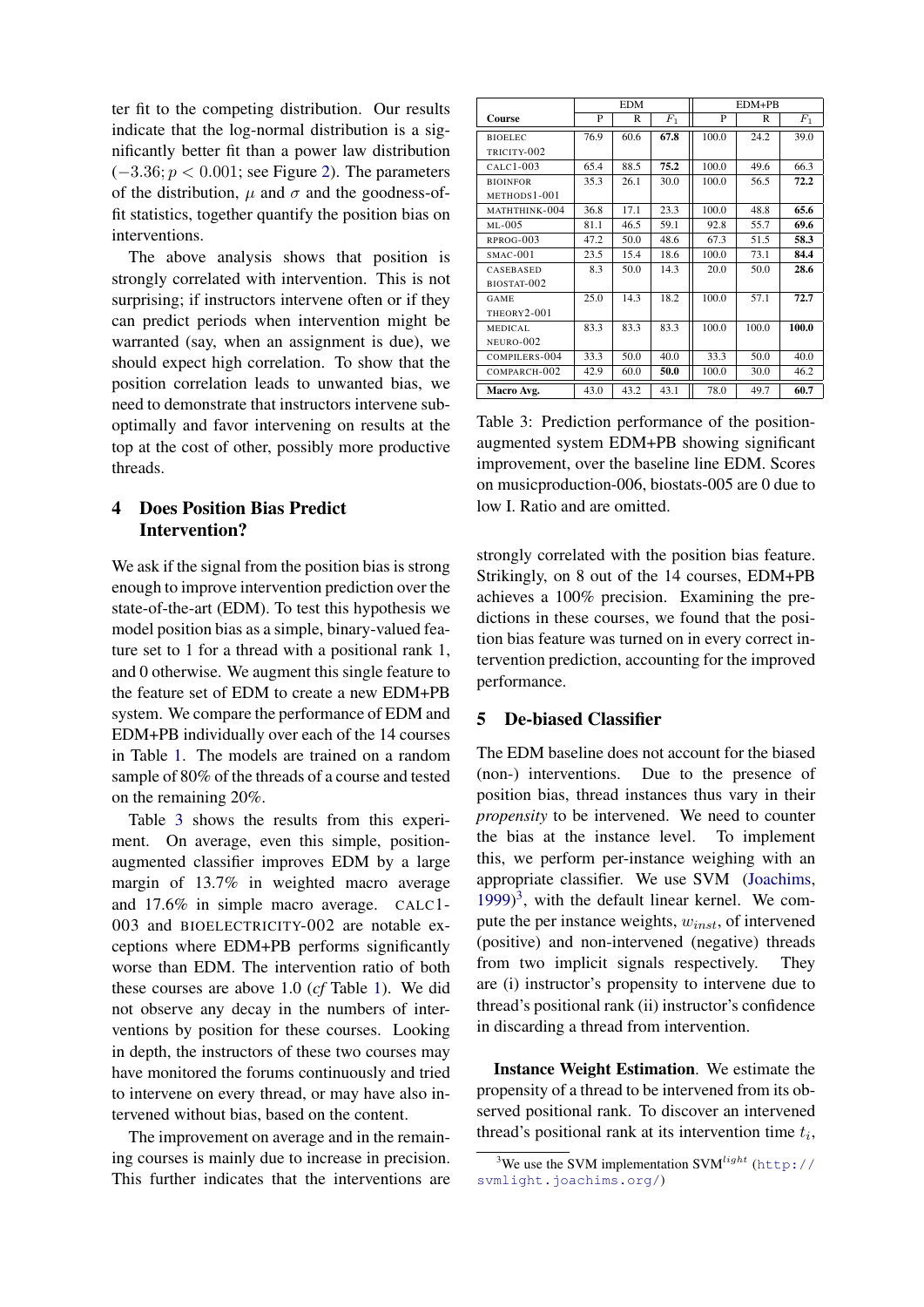ter fit to the competing distribution. Our results indicate that the log-normal distribution is a significantly better fit than a power law distribution  $(-3.36; p < 0.001;$  see Figure [2\)](#page-2-0). The parameters of the distribution,  $\mu$  and  $\sigma$  and the goodness-offit statistics, together quantify the position bias on interventions.

The above analysis shows that position is strongly correlated with intervention. This is not surprising; if instructors intervene often or if they can predict periods when intervention might be warranted (say, when an assignment is due), we should expect high correlation. To show that the position correlation leads to unwanted bias, we need to demonstrate that instructors intervene suboptimally and favor intervening on results at the top at the cost of other, possibly more productive threads.

# 4 Does Position Bias Predict Intervention?

We ask if the signal from the position bias is strong enough to improve intervention prediction over the state-of-the-art (EDM). To test this hypothesis we model position bias as a simple, binary-valued feature set to 1 for a thread with a positional rank 1, and 0 otherwise. We augment this single feature to the feature set of EDM to create a new EDM+PB system. We compare the performance of EDM and EDM+PB individually over each of the 14 courses in Table [1.](#page-1-2) The models are trained on a random sample of 80% of the threads of a course and tested on the remaining 20%.

Table [3](#page-3-0) shows the results from this experiment. On average, even this simple, positionaugmented classifier improves EDM by a large margin of 13.7% in weighted macro average and 17.6% in simple macro average. CALC1- 003 and BIOELECTRICITY-002 are notable exceptions where EDM+PB performs significantly worse than EDM. The intervention ratio of both these courses are above 1.0 (*cf* Table [1\)](#page-1-2). We did not observe any decay in the numbers of interventions by position for these courses. Looking in depth, the instructors of these two courses may have monitored the forums continuously and tried to intervene on every thread, or may have also intervened without bias, based on the content.

The improvement on average and in the remaining courses is mainly due to increase in precision. This further indicates that the interventions are

|                  | <b>EDM</b> |      |                | $EDM+PB$ |       |                |  |
|------------------|------------|------|----------------|----------|-------|----------------|--|
| Course           | P          | R    | F <sub>1</sub> | P        | R     | F <sub>1</sub> |  |
| <b>BIOELEC</b>   | 76.9       | 60.6 | 67.8           | 100.0    | 24.2  | 39.0           |  |
| TRICITY-002      |            |      |                |          |       |                |  |
| $CALC1-003$      | 65.4       | 88.5 | 75.2           | 100.0    | 49.6  | 66.3           |  |
| <b>BIOINFOR</b>  | 35.3       | 26.1 | 30.0           | 100.0    | 56.5  | 72.2           |  |
| METHODS1-001     |            |      |                |          |       |                |  |
| MATHTHINK-004    | 36.8       | 17.1 | 23.3           | 100.0    | 48.8  | 65.6           |  |
| $ML-005$         | 81.1       | 46.5 | 59.1           | 92.8     | 55.7  | 69.6           |  |
| RPROG-003        | 47.2       | 50.0 | 48.6           | 67.3     | 51.5  | 58.3           |  |
| $SMAC-001$       | 23.5       | 15.4 | 18.6           | 100.0    | 73.1  | 84.4           |  |
| <b>CASEBASED</b> | 8.3        | 50.0 | 14.3           | 20.0     | 50.0  | 28.6           |  |
| BIOSTAT-002      |            |      |                |          |       |                |  |
| GAME             | 25.0       | 14.3 | 18.2           | 100.0    | 57.1  | 72.7           |  |
| THEORY2-001      |            |      |                |          |       |                |  |
| MEDICAL          | 83.3       | 83.3 | 83.3           | 100.0    | 100.0 | 100.0          |  |
| NEURO-002        |            |      |                |          |       |                |  |
| COMPILERS-004    | 33.3       | 50.0 | 40.0           | 33.3     | 50.0  | 40.0           |  |
| COMPARCH-002     | 42.9       | 60.0 | 50.0           | 100.0    | 30.0  | 46.2           |  |
| Macro Avg.       | 43.0       | 43.2 | 43.1           | 78.0     | 49.7  | 60.7           |  |

<span id="page-3-0"></span>Table 3: Prediction performance of the positionaugmented system EDM+PB showing significant improvement, over the baseline line EDM. Scores on musicproduction-006, biostats-005 are 0 due to low I. Ratio and are omitted.

strongly correlated with the position bias feature. Strikingly, on 8 out of the 14 courses, EDM+PB achieves a 100% precision. Examining the predictions in these courses, we found that the position bias feature was turned on in every correct intervention prediction, accounting for the improved performance.

#### 5 De-biased Classifier

The EDM baseline does not account for the biased (non-) interventions. Due to the presence of position bias, thread instances thus vary in their *propensity* to be intervened. We need to counter the bias at the instance level. To implement this, we perform per-instance weighing with an appropriate classifier. We use SVM [\(Joachims,](#page-6-7) [1999\)](#page-6-7) [3](#page-3-1) , with the default linear kernel. We compute the per instance weights,  $w_{inst}$ , of intervened (positive) and non-intervened (negative) threads from two implicit signals respectively. They are (i) instructor's propensity to intervene due to thread's positional rank (ii) instructor's confidence in discarding a thread from intervention.

Instance Weight Estimation. We estimate the propensity of a thread to be intervened from its observed positional rank. To discover an intervened thread's positional rank at its intervention time  $t_i$ ,

<span id="page-3-1"></span><sup>&</sup>lt;sup>3</sup>We use the SVM implementation SVM<sup>*light*</sup> ([http://](http://svmlight.joachims.org/) [svmlight.joachims.org/](http://svmlight.joachims.org/))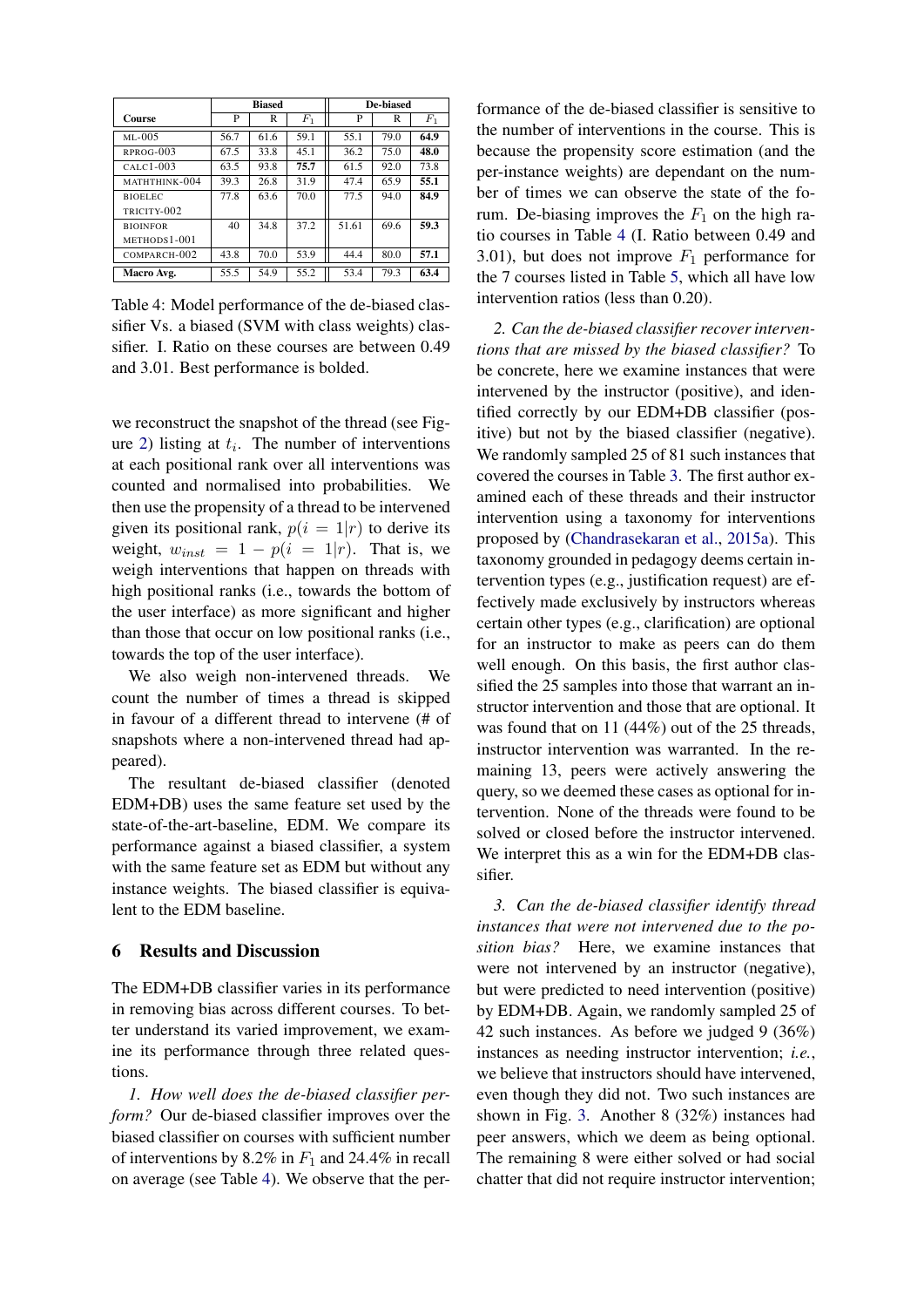|                 | <b>Biased</b> |      |       | De-biased |      |       |
|-----------------|---------------|------|-------|-----------|------|-------|
| <b>Course</b>   | P             | R    | $F_1$ | P         | R    | $F_1$ |
| $ML-005$        | 56.7          | 61.6 | 59.1  | 55.1      | 79.0 | 64.9  |
| $RPROG-003$     | 67.5          | 33.8 | 45.1  | 36.2      | 75.0 | 48.0  |
| $CALC1-003$     | 63.5          | 93.8 | 75.7  | 61.5      | 92.0 | 73.8  |
| MATHTHINK-004   | 39.3          | 26.8 | 31.9  | 47.4      | 65.9 | 55.1  |
| <b>BIOELEC</b>  | 77.8          | 63.6 | 70.0  | 77.5      | 94.0 | 84.9  |
| TRICITY-002     |               |      |       |           |      |       |
| <b>BIOINFOR</b> | 40            | 34.8 | 37.2  | 51.61     | 69.6 | 59.3  |
| METHODS1-001    |               |      |       |           |      |       |
| COMPARCH-002    | 43.8          | 70.0 | 53.9  | 44.4      | 80.0 | 57.1  |
| Macro Avg.      | 55.5          | 54.9 | 55.2  | 53.4      | 79.3 | 63.4  |

<span id="page-4-0"></span>Table 4: Model performance of the de-biased classifier Vs. a biased (SVM with class weights) classifier. I. Ratio on these courses are between 0.49 and 3.01. Best performance is bolded.

we reconstruct the snapshot of the thread (see Fig-ure [2\)](#page-2-1) listing at  $t_i$ . The number of interventions at each positional rank over all interventions was counted and normalised into probabilities. We then use the propensity of a thread to be intervened given its positional rank,  $p(i = 1|r)$  to derive its weight,  $w_{inst} = 1 - p(i = 1|r)$ . That is, we weigh interventions that happen on threads with high positional ranks (i.e., towards the bottom of the user interface) as more significant and higher than those that occur on low positional ranks (i.e., towards the top of the user interface).

We also weigh non-intervened threads. We count the number of times a thread is skipped in favour of a different thread to intervene (# of snapshots where a non-intervened thread had appeared).

The resultant de-biased classifier (denoted EDM+DB) uses the same feature set used by the state-of-the-art-baseline, EDM. We compare its performance against a biased classifier, a system with the same feature set as EDM but without any instance weights. The biased classifier is equivalent to the EDM baseline.

### 6 Results and Discussion

The EDM+DB classifier varies in its performance in removing bias across different courses. To better understand its varied improvement, we examine its performance through three related questions.

*1. How well does the de-biased classifier perform?* Our de-biased classifier improves over the biased classifier on courses with sufficient number of interventions by 8.2% in  $F_1$  and 24.4% in recall on average (see Table [4\)](#page-4-0). We observe that the per-

formance of the de-biased classifier is sensitive to the number of interventions in the course. This is because the propensity score estimation (and the per-instance weights) are dependant on the number of times we can observe the state of the forum. De-biasing improves the  $F_1$  on the high ratio courses in Table [4](#page-4-0) (I. Ratio between 0.49 and 3.01), but does not improve  $F_1$  performance for the 7 courses listed in Table [5,](#page-6-8) which all have low intervention ratios (less than 0.20).

*2. Can the de-biased classifier recover interventions that are missed by the biased classifier?* To be concrete, here we examine instances that were intervened by the instructor (positive), and identified correctly by our EDM+DB classifier (positive) but not by the biased classifier (negative). We randomly sampled 25 of 81 such instances that covered the courses in Table [3.](#page-3-0) The first author examined each of these threads and their instructor intervention using a taxonomy for interventions proposed by [\(Chandrasekaran et al.,](#page-6-9) [2015a\)](#page-6-9). This taxonomy grounded in pedagogy deems certain intervention types (e.g., justification request) are effectively made exclusively by instructors whereas certain other types (e.g., clarification) are optional for an instructor to make as peers can do them well enough. On this basis, the first author classified the 25 samples into those that warrant an instructor intervention and those that are optional. It was found that on 11 (44%) out of the 25 threads, instructor intervention was warranted. In the remaining 13, peers were actively answering the query, so we deemed these cases as optional for intervention. None of the threads were found to be solved or closed before the instructor intervened. We interpret this as a win for the EDM+DB classifier.

*3. Can the de-biased classifier identify thread instances that were not intervened due to the position bias?* Here, we examine instances that were not intervened by an instructor (negative), but were predicted to need intervention (positive) by EDM+DB. Again, we randomly sampled 25 of 42 such instances. As before we judged 9 (36%) instances as needing instructor intervention; *i.e.*, we believe that instructors should have intervened, even though they did not. Two such instances are shown in Fig. [3.](#page-5-0) Another 8 (32%) instances had peer answers, which we deem as being optional. The remaining 8 were either solved or had social chatter that did not require instructor intervention;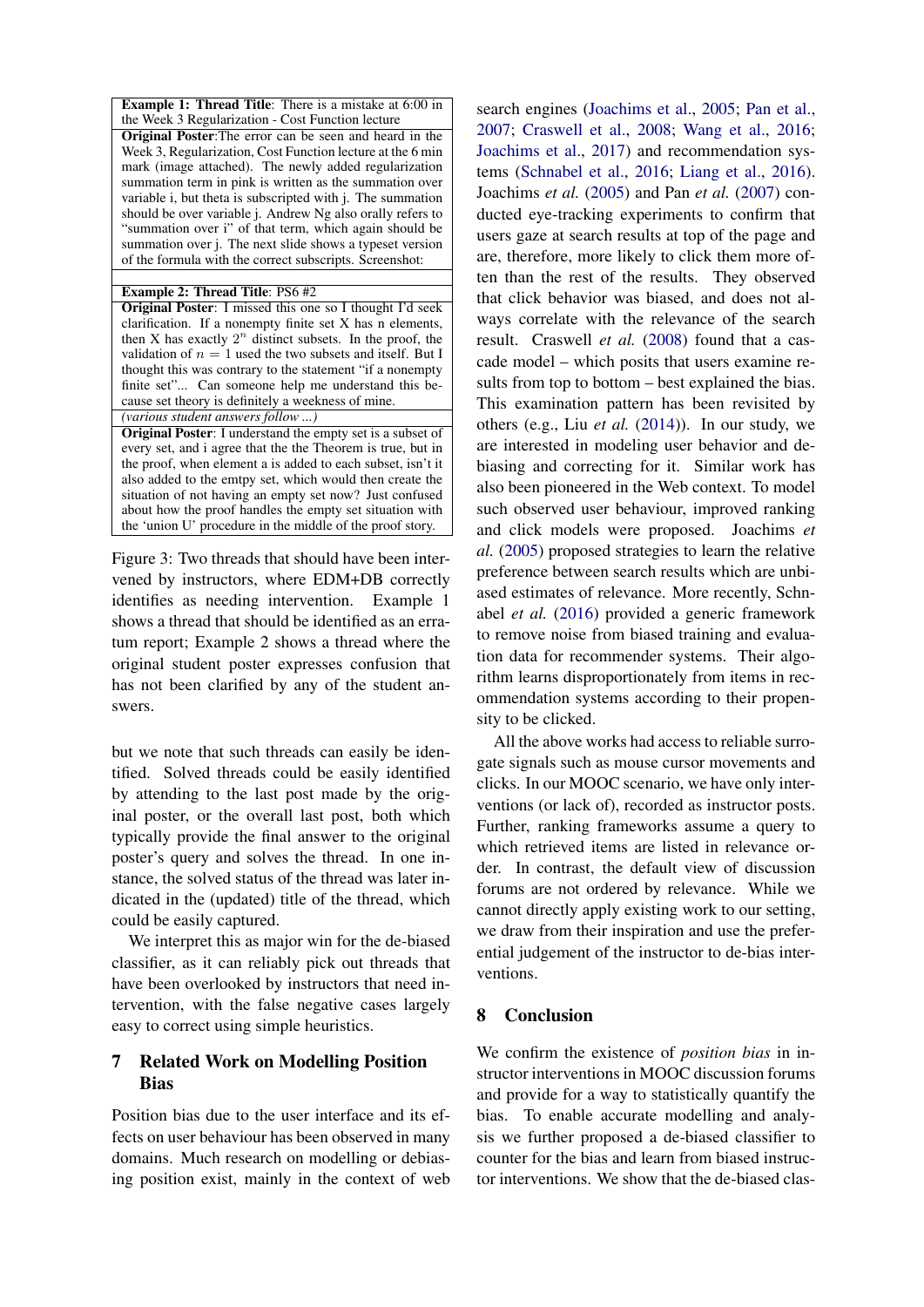Example 1: Thread Title: There is a mistake at 6:00 in the Week 3 Regularization - Cost Function lecture

Original Poster:The error can be seen and heard in the Week 3, Regularization, Cost Function lecture at the 6 min mark (image attached). The newly added regularization summation term in pink is written as the summation over variable i, but theta is subscripted with j. The summation should be over variable j. Andrew Ng also orally refers to "summation over i" of that term, which again should be summation over j. The next slide shows a typeset version of the formula with the correct subscripts. Screenshot:

#### Example 2: Thread Title: PS6 #2

Original Poster: I missed this one so I thought I'd seek clarification. If a nonempty finite set X has n elements, then X has exactly  $2^n$  distinct subsets. In the proof, the validation of  $n = 1$  used the two subsets and itself. But I thought this was contrary to the statement "if a nonempty finite set"... Can someone help me understand this because set theory is definitely a weekness of mine. *(various student answers follow ...)*

Original Poster: I understand the empty set is a subset of every set, and i agree that the the Theorem is true, but in the proof, when element a is added to each subset, isn't it also added to the emtpy set, which would then create the situation of not having an empty set now? Just confused about how the proof handles the empty set situation with the 'union U' procedure in the middle of the proof story.

<span id="page-5-0"></span>Figure 3: Two threads that should have been intervened by instructors, where EDM+DB correctly identifies as needing intervention. Example 1 shows a thread that should be identified as an erratum report; Example 2 shows a thread where the original student poster expresses confusion that has not been clarified by any of the student answers.

but we note that such threads can easily be identified. Solved threads could be easily identified by attending to the last post made by the original poster, or the overall last post, both which typically provide the final answer to the original poster's query and solves the thread. In one instance, the solved status of the thread was later indicated in the (updated) title of the thread, which could be easily captured.

We interpret this as major win for the de-biased classifier, as it can reliably pick out threads that have been overlooked by instructors that need intervention, with the false negative cases largely easy to correct using simple heuristics.

### 7 Related Work on Modelling Position Bias

Position bias due to the user interface and its effects on user behaviour has been observed in many domains. Much research on modelling or debiasing position exist, mainly in the context of web

search engines [\(Joachims et al.,](#page-6-3) [2005;](#page-6-3) [Pan et al.,](#page-7-2) [2007;](#page-7-2) [Craswell et al.,](#page-6-10) [2008;](#page-6-10) [Wang et al.,](#page-7-3) [2016;](#page-7-3) [Joachims et al.,](#page-6-11) [2017\)](#page-6-11) and recommendation systems [\(Schnabel et al.,](#page-7-4) [2016;](#page-7-4) [Liang et al.,](#page-6-12) [2016\)](#page-6-12). Joachims *et al.* [\(2005\)](#page-6-3) and Pan *et al.* [\(2007\)](#page-7-2) conducted eye-tracking experiments to confirm that users gaze at search results at top of the page and are, therefore, more likely to click them more often than the rest of the results. They observed that click behavior was biased, and does not always correlate with the relevance of the search result. Craswell *et al.* [\(2008\)](#page-6-10) found that a cascade model – which posits that users examine results from top to bottom – best explained the bias. This examination pattern has been revisited by others (e.g., Liu *et al.* [\(2014\)](#page-6-13)). In our study, we are interested in modeling user behavior and debiasing and correcting for it. Similar work has also been pioneered in the Web context. To model such observed user behaviour, improved ranking and click models were proposed. Joachims *et al.* [\(2005\)](#page-6-3) proposed strategies to learn the relative preference between search results which are unbiased estimates of relevance. More recently, Schnabel *et al.* [\(2016\)](#page-7-4) provided a generic framework to remove noise from biased training and evaluation data for recommender systems. Their algorithm learns disproportionately from items in recommendation systems according to their propensity to be clicked.

All the above works had access to reliable surrogate signals such as mouse cursor movements and clicks. In our MOOC scenario, we have only interventions (or lack of), recorded as instructor posts. Further, ranking frameworks assume a query to which retrieved items are listed in relevance order. In contrast, the default view of discussion forums are not ordered by relevance. While we cannot directly apply existing work to our setting, we draw from their inspiration and use the preferential judgement of the instructor to de-bias interventions.

# 8 Conclusion

We confirm the existence of *position bias* in instructor interventions in MOOC discussion forums and provide for a way to statistically quantify the bias. To enable accurate modelling and analysis we further proposed a de-biased classifier to counter for the bias and learn from biased instructor interventions. We show that the de-biased clas-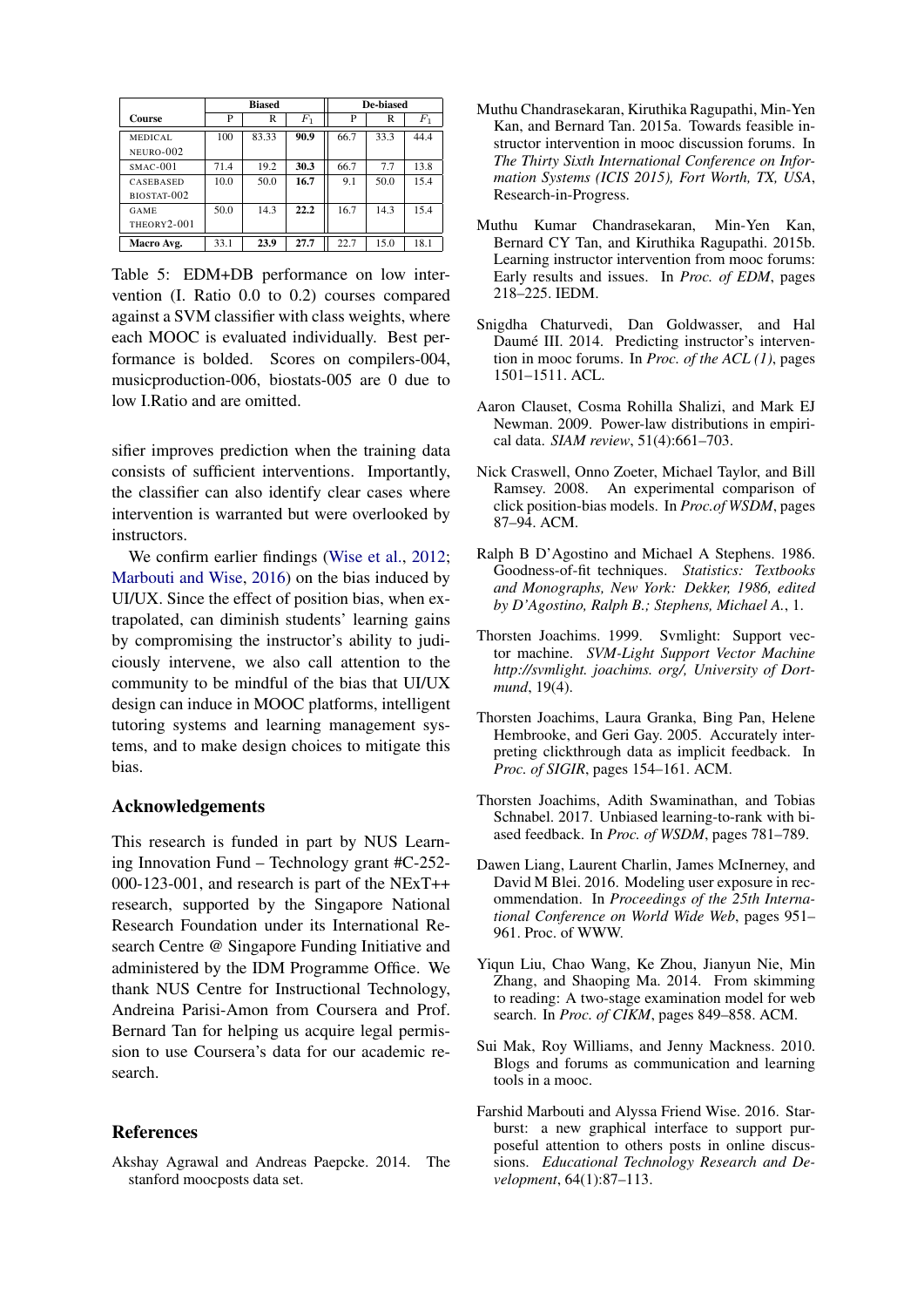|             | <b>Biased</b> |       |       | De-biased |      |       |
|-------------|---------------|-------|-------|-----------|------|-------|
| Course      | P             | R     | $F_1$ | P         | R    | $F_1$ |
| MEDICAL     | 100           | 83.33 | 90.9  | 66.7      | 33.3 | 44.4  |
| NEURO-002   |               |       |       |           |      |       |
| $SMAC-001$  | 71.4          | 19.2  | 30.3  | 66.7      | 7.7  | 13.8  |
| CASEBASED   | 10.0          | 50.0  | 16.7  | 9.1       | 50.0 | 15.4  |
| BIOSTAT-002 |               |       |       |           |      |       |
| GAME        | 50.0          | 14.3  | 22.2  | 16.7      | 14.3 | 15.4  |
| THEORY2-001 |               |       |       |           |      |       |
| Macro Avg.  | 33.1          | 23.9  | 27.7  | 22.7      | 15.0 | 18.1  |

<span id="page-6-8"></span>Table 5: EDM+DB performance on low intervention (I. Ratio 0.0 to 0.2) courses compared against a SVM classifier with class weights, where each MOOC is evaluated individually. Best performance is bolded. Scores on compilers-004, musicproduction-006, biostats-005 are 0 due to low I.Ratio and are omitted.

sifier improves prediction when the training data consists of sufficient interventions. Importantly, the classifier can also identify clear cases where intervention is warranted but were overlooked by instructors.

We confirm earlier findings [\(Wise et al.,](#page-7-1) [2012;](#page-7-1) [Marbouti and Wise,](#page-6-14) [2016\)](#page-6-14) on the bias induced by UI/UX. Since the effect of position bias, when extrapolated, can diminish students' learning gains by compromising the instructor's ability to judiciously intervene, we also call attention to the community to be mindful of the bias that UI/UX design can induce in MOOC platforms, intelligent tutoring systems and learning management systems, and to make design choices to mitigate this bias.

#### Acknowledgements

This research is funded in part by NUS Learning Innovation Fund – Technology grant #C-252- 000-123-001, and research is part of the NExT++ research, supported by the Singapore National Research Foundation under its International Research Centre @ Singapore Funding Initiative and administered by the IDM Programme Office. We thank NUS Centre for Instructional Technology, Andreina Parisi-Amon from Coursera and Prof. Bernard Tan for helping us acquire legal permission to use Coursera's data for our academic research.

#### References

<span id="page-6-4"></span>Akshay Agrawal and Andreas Paepcke. 2014. The stanford moocposts data set.

- <span id="page-6-9"></span>Muthu Chandrasekaran, Kiruthika Ragupathi, Min-Yen Kan, and Bernard Tan. 2015a. Towards feasible instructor intervention in mooc discussion forums. In *The Thirty Sixth International Conference on Information Systems (ICIS 2015), Fort Worth, TX, USA*, Research-in-Progress.
- <span id="page-6-2"></span>Muthu Kumar Chandrasekaran, Min-Yen Kan, Bernard CY Tan, and Kiruthika Ragupathi. 2015b. Learning instructor intervention from mooc forums: Early results and issues. In *Proc. of EDM*, pages 218–225. IEDM.
- <span id="page-6-1"></span>Snigdha Chaturvedi, Dan Goldwasser, and Hal Daumé III. 2014. Predicting instructor's intervention in mooc forums. In *Proc. of the ACL (1)*, pages 1501–1511. ACL.
- <span id="page-6-6"></span>Aaron Clauset, Cosma Rohilla Shalizi, and Mark EJ Newman. 2009. Power-law distributions in empirical data. *SIAM review*, 51(4):661–703.
- <span id="page-6-10"></span>Nick Craswell, Onno Zoeter, Michael Taylor, and Bill Ramsey. 2008. An experimental comparison of click position-bias models. In *Proc.of WSDM*, pages 87–94. ACM.
- <span id="page-6-5"></span>Ralph B D'Agostino and Michael A Stephens. 1986. Goodness-of-fit techniques. *Statistics: Textbooks and Monographs, New York: Dekker, 1986, edited by D'Agostino, Ralph B.; Stephens, Michael A.*, 1.
- <span id="page-6-7"></span>Thorsten Joachims. 1999. Svmlight: Support vector machine. *SVM-Light Support Vector Machine http://svmlight. joachims. org/, University of Dortmund*, 19(4).
- <span id="page-6-3"></span>Thorsten Joachims, Laura Granka, Bing Pan, Helene Hembrooke, and Geri Gay. 2005. Accurately interpreting clickthrough data as implicit feedback. In *Proc. of SIGIR*, pages 154–161. ACM.
- <span id="page-6-11"></span>Thorsten Joachims, Adith Swaminathan, and Tobias Schnabel. 2017. Unbiased learning-to-rank with biased feedback. In *Proc. of WSDM*, pages 781–789.
- <span id="page-6-12"></span>Dawen Liang, Laurent Charlin, James McInerney, and David M Blei. 2016. Modeling user exposure in recommendation. In *Proceedings of the 25th International Conference on World Wide Web*, pages 951– 961. Proc. of WWW.
- <span id="page-6-13"></span>Yiqun Liu, Chao Wang, Ke Zhou, Jianyun Nie, Min Zhang, and Shaoping Ma. 2014. From skimming to reading: A two-stage examination model for web search. In *Proc. of CIKM*, pages 849–858. ACM.
- <span id="page-6-0"></span>Sui Mak, Roy Williams, and Jenny Mackness. 2010. Blogs and forums as communication and learning tools in a mooc.
- <span id="page-6-14"></span>Farshid Marbouti and Alyssa Friend Wise. 2016. Starburst: a new graphical interface to support purposeful attention to others posts in online discussions. *Educational Technology Research and Development*, 64(1):87–113.